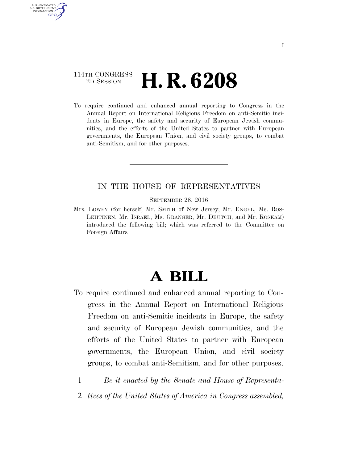## 114TH CONGRESS <sup>2D SESSION</sup> **H. R. 6208**

AUTHENTICATED U.S. GOVERNMENT GPO

> To require continued and enhanced annual reporting to Congress in the Annual Report on International Religious Freedom on anti-Semitic incidents in Europe, the safety and security of European Jewish communities, and the efforts of the United States to partner with European governments, the European Union, and civil society groups, to combat anti-Semitism, and for other purposes.

### IN THE HOUSE OF REPRESENTATIVES

SEPTEMBER 28, 2016

Mrs. LOWEY (for herself, Mr. SMITH of New Jersey, Mr. ENGEL, Ms. ROS-LEHTINEN, Mr. ISRAEL, Ms. GRANGER, Mr. DEUTCH, and Mr. ROSKAM) introduced the following bill; which was referred to the Committee on Foreign Affairs

# **A BILL**

- To require continued and enhanced annual reporting to Congress in the Annual Report on International Religious Freedom on anti-Semitic incidents in Europe, the safety and security of European Jewish communities, and the efforts of the United States to partner with European governments, the European Union, and civil society groups, to combat anti-Semitism, and for other purposes.
	- 1 *Be it enacted by the Senate and House of Representa-*
	- 2 *tives of the United States of America in Congress assembled,*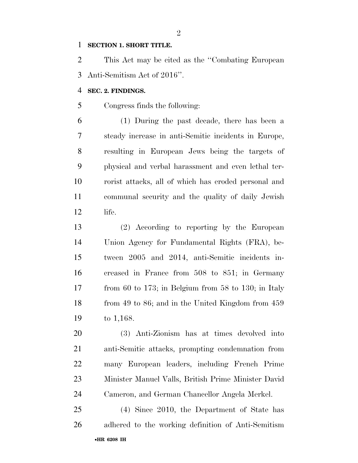#### **SECTION 1. SHORT TITLE.**

 This Act may be cited as the ''Combating European Anti-Semitism Act of 2016''.

#### **SEC. 2. FINDINGS.**

Congress finds the following:

 (1) During the past decade, there has been a steady increase in anti-Semitic incidents in Europe, resulting in European Jews being the targets of physical and verbal harassment and even lethal ter- rorist attacks, all of which has eroded personal and communal security and the quality of daily Jewish life.

 (2) According to reporting by the European Union Agency for Fundamental Rights (FRA), be- tween 2005 and 2014, anti-Semitic incidents in- creased in France from 508 to 851; in Germany from 60 to 173; in Belgium from 58 to 130; in Italy from 49 to 86; and in the United Kingdom from 459 to 1,168.

 (3) Anti-Zionism has at times devolved into anti-Semitic attacks, prompting condemnation from many European leaders, including French Prime Minister Manuel Valls, British Prime Minister David Cameron, and German Chancellor Angela Merkel.

•**HR 6208 IH** (4) Since 2010, the Department of State has adhered to the working definition of Anti-Semitism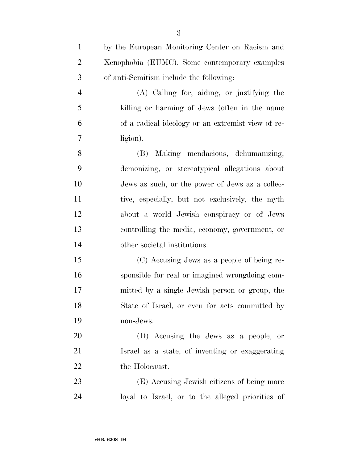| $\mathbf{1}$   | by the European Monitoring Center on Racism and   |
|----------------|---------------------------------------------------|
| $\overline{2}$ | Xenophobia (EUMC). Some contemporary examples     |
| 3              | of anti-Semitism include the following:           |
| $\overline{4}$ | (A) Calling for, aiding, or justifying the        |
| 5              | killing or harming of Jews (often in the name     |
| 6              | of a radical ideology or an extremist view of re- |
| 7              | ligion).                                          |
| 8              | (B) Making mendacious, dehumanizing,              |
| 9              | demonizing, or stereotypical allegations about    |
| 10             | Jews as such, or the power of Jews as a collec-   |
| 11             | tive, especially, but not exclusively, the myth   |
| 12             | about a world Jewish conspiracy or of Jews        |
| 13             | controlling the media, economy, government, or    |
| 14             | other societal institutions.                      |
| 15             | (C) Accusing Jews as a people of being re-        |
| 16             | sponsible for real or imagined wrongdoing com-    |
| 17             | mitted by a single Jewish person or group, the    |
| 18             | State of Israel, or even for acts committed by    |
| 19             | non-Jews.                                         |
| 20             | (D) Accusing the Jews as a people, or             |
| 21             | Israel as a state, of inventing or exaggerating   |
| 22             | the Holocaust.                                    |
| 23             | (E) Accusing Jewish citizens of being more        |
| 24             | loyal to Israel, or to the alleged priorities of  |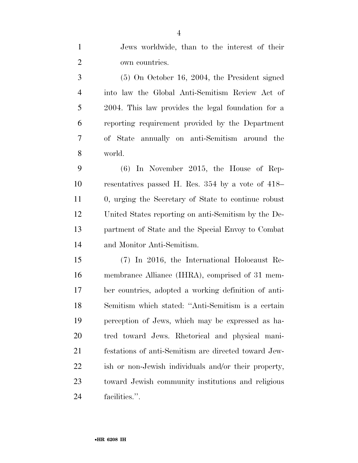Jews worldwide, than to the interest of their own countries.

 (5) On October 16, 2004, the President signed into law the Global Anti-Semitism Review Act of 2004. This law provides the legal foundation for a reporting requirement provided by the Department of State annually on anti-Semitism around the world.

 (6) In November 2015, the House of Rep- resentatives passed H. Res. 354 by a vote of 418– 0, urging the Secretary of State to continue robust United States reporting on anti-Semitism by the De- partment of State and the Special Envoy to Combat and Monitor Anti-Semitism.

 (7) In 2016, the International Holocaust Re- membrance Alliance (IHRA), comprised of 31 mem- ber countries, adopted a working definition of anti- Semitism which stated: ''Anti-Semitism is a certain perception of Jews, which may be expressed as ha- tred toward Jews. Rhetorical and physical mani- festations of anti-Semitism are directed toward Jew- ish or non-Jewish individuals and/or their property, toward Jewish community institutions and religious facilities.''.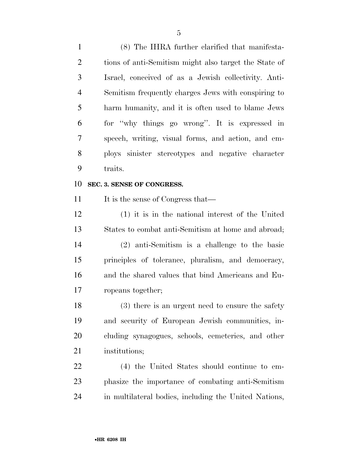(8) The IHRA further clarified that manifesta- tions of anti-Semitism might also target the State of Israel, conceived of as a Jewish collectivity. Anti- Semitism frequently charges Jews with conspiring to harm humanity, and it is often used to blame Jews for ''why things go wrong''. It is expressed in speech, writing, visual forms, and action, and em- ploys sinister stereotypes and negative character traits.

#### **SEC. 3. SENSE OF CONGRESS.**

11 It is the sense of Congress that—

 (1) it is in the national interest of the United States to combat anti-Semitism at home and abroad; (2) anti-Semitism is a challenge to the basic principles of tolerance, pluralism, and democracy, and the shared values that bind Americans and Eu-ropeans together;

 (3) there is an urgent need to ensure the safety and security of European Jewish communities, in- cluding synagogues, schools, cemeteries, and other institutions;

 (4) the United States should continue to em- phasize the importance of combating anti-Semitism in multilateral bodies, including the United Nations,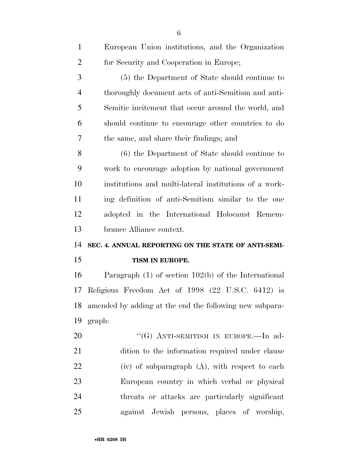| $\mathbf{1}$   | European Union institutions, and the Organization        |
|----------------|----------------------------------------------------------|
| $\overline{2}$ | for Security and Cooperation in Europe;                  |
| 3              | (5) the Department of State should continue to           |
| $\overline{4}$ | thoroughly document acts of anti-Semitism and anti-      |
| 5              | Semitic incitement that occur around the world, and      |
| 6              | should continue to encourage other countries to do       |
| 7              | the same, and share their findings; and                  |
| 8              | (6) the Department of State should continue to           |
| 9              | work to encourage adoption by national government        |
| 10             | institutions and multi-lateral institutions of a work-   |
| 11             | ing definition of anti-Semitism similar to the one       |
| 12             | adopted in the International Holocaust Remem-            |
|                |                                                          |
| 13             | brance Alliance context.                                 |
| 14             | SEC. 4. ANNUAL REPORTING ON THE STATE OF ANTI-SEMI-      |
| 15             | TISM IN EUROPE.                                          |
| 16             | Paragraph $(1)$ of section $102(b)$ of the International |
| 17             | Religious Freedom Act of 1998 (22 U.S.C. 6412) is        |
| 18             | amended by adding at the end the following new subpara-  |
| 19             | graph:                                                   |
| 20             | "(G) ANTI-SEMITISM IN EUROPE.—In ad-                     |
| 21             | dition to the information required under clause          |
| 22             | $(iv)$ of subparagraph $(A)$ , with respect to each      |
| 23             | European country in which verbal or physical             |
| 24             | threats or attacks are particularly significant          |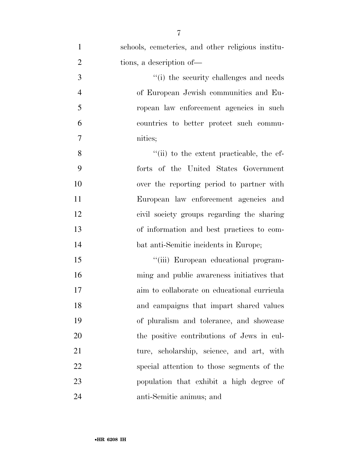| $\mathbf{1}$   | schools, cemeteries, and other religious institu- |
|----------------|---------------------------------------------------|
| $\overline{2}$ | tions, a description of—                          |
| 3              | "(i) the security challenges and needs            |
| $\overline{4}$ | of European Jewish communities and Eu-            |
| 5              | ropean law enforcement agencies in such           |
| 6              | countries to better protect such commu-           |
| $\tau$         | nities;                                           |
| 8              | "(ii) to the extent practicable, the ef-          |
| 9              | forts of the United States Government             |
| 10             | over the reporting period to partner with         |
| 11             | European law enforcement agencies and             |
| 12             | civil society groups regarding the sharing        |
| 13             | of information and best practices to com-         |
| 14             | bat anti-Semitic incidents in Europe;             |
| 15             | "(iii) European educational program-              |
| 16             | ming and public awareness initiatives that        |
| 17             | aim to collaborate on educational curricula       |
| 18             | and campaigns that impart shared values           |
| 19             | of pluralism and tolerance, and showcase          |
| 20             | the positive contributions of Jews in cul-        |
| 21             | ture, scholarship, science, and art, with         |
|                |                                                   |

special attention to those segments of the

population that exhibit a high degree of

anti-Semitic animus; and